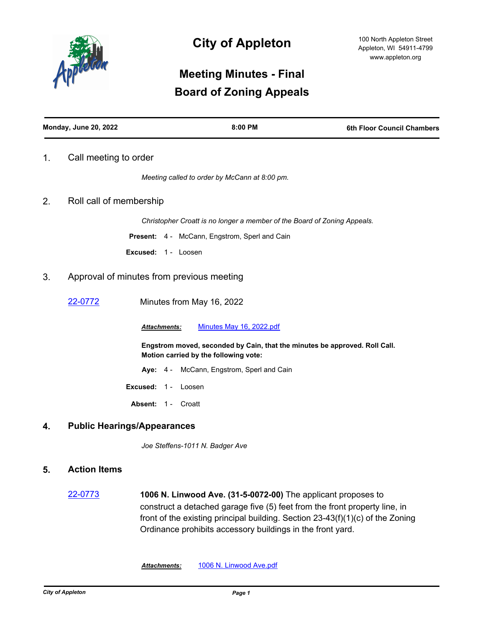

# **City of Appleton**

# **Meeting Minutes - Final Board of Zoning Appeals**

| <b>Monday, June 20, 2022</b> | 8:00 PM | <b>6th Floor Council Chambers</b> |
|------------------------------|---------|-----------------------------------|
|                              |         |                                   |

### 1. Call meeting to order

*Meeting called to order by McCann at 8:00 pm.*

### 2. Roll call of membership

*Christopher Croatt is no longer a member of the Board of Zoning Appeals.*

**Present:** 4 - McCann, Engstrom, Sperl and Cain

**Excused:** 1 - Loosen

### 3. Approval of minutes from previous meeting

[22-0772](http://cityofappleton.legistar.com/gateway.aspx?m=l&id=/matter.aspx?key=21322) Minutes from May 16, 2022

*Attachments:* [Minutes May 16, 2022.pdf](http://cityofappleton.legistar.com/gateway.aspx?M=F&ID=f8670a09-bb88-4b32-9671-9a105bb197d3.pdf)

**Engstrom moved, seconded by Cain, that the minutes be approved. Roll Call. Motion carried by the following vote:**

- **Aye:** 4 McCann, Engstrom, Sperl and Cain
- **Excused:** 1 Loosen
- Absent: 1 Croatt

#### **4. Public Hearings/Appearances**

*Joe Steffens-1011 N. Badger Ave*

#### **5. Action Items**

[22-0773](http://cityofappleton.legistar.com/gateway.aspx?m=l&id=/matter.aspx?key=21323) **1006 N. Linwood Ave. (31-5-0072-00)** The applicant proposes to construct a detached garage five (5) feet from the front property line, in front of the existing principal building. Section 23-43(f)(1)(c) of the Zoning Ordinance prohibits accessory buildings in the front yard.

*Attachments:* [1006 N. Linwood Ave.pdf](http://cityofappleton.legistar.com/gateway.aspx?M=F&ID=c21dea09-8b7b-4820-b1cd-51f80e39a716.pdf)